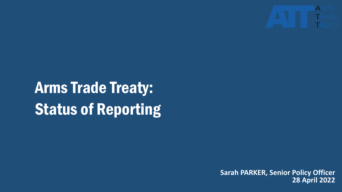

## Arms Trade Treaty: Status of Reporting

**Sarah PARKER, Senior Policy Officer 28 April 2022**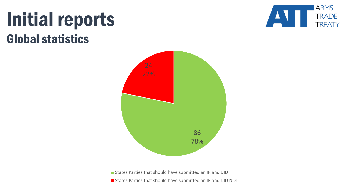#### Initial reports Global statistics





States Parties that should have submitted an IR and DID

**States Parties that should have submitted an IR and DID NOT**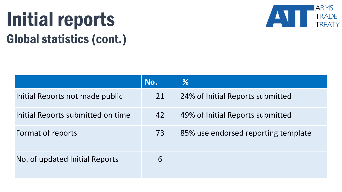## Initial reports Global statistics (cont.)



|                                   | No. | %                                   |
|-----------------------------------|-----|-------------------------------------|
| Initial Reports not made public   | 21  | 24% of Initial Reports submitted    |
| Initial Reports submitted on time | 42  | 49% of Initial Reports submitted    |
| Format of reports                 | 73  | 85% use endorsed reporting template |
| No. of updated Initial Reports    | 6   |                                     |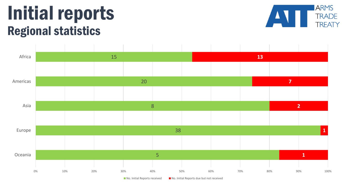#### Initial reports Regional statistics





 $\blacksquare$  No. Initial Reports received  $\blacksquare$  No. Initial Reports due but not received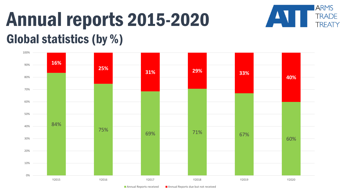#### Annual reports 2015-2020 Global statistics (by %)



**ARMS** 

**TRADE** 

**TREATY**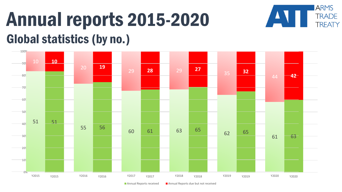## Annual reports 2015-2020 Global statistics (by no.)



**ARMS** 

 $\blacktriangle$ 

**TRADE** 

**TREATY** 

Annual Reports received  $\blacksquare$  Annual Reports due but not received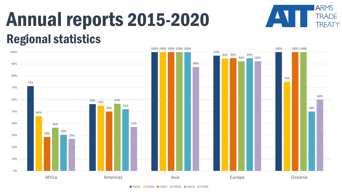#### Annual reports 2015-2020 Regional statistics



**ARMS** 

**TRADE** 

**TREATY**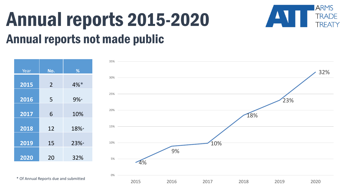#### Annual reports 2015-2020 Annual reports not made public



**ARMS** 

**TRADE** 

TRFATY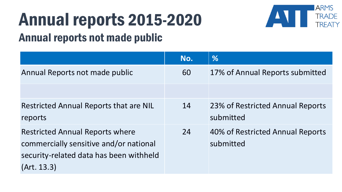# Annual reports 2015-2020



#### Annual reports not made public

|                                         | No. | %                                |
|-----------------------------------------|-----|----------------------------------|
| Annual Reports not made public          | 60  | 17% of Annual Reports submitted  |
|                                         |     |                                  |
| Restricted Annual Reports that are NIL  | 14  | 23% of Restricted Annual Reports |
| reports                                 |     | submitted                        |
| <b>Restricted Annual Reports where</b>  | 24  | 40% of Restricted Annual Reports |
| commercially sensitive and/or national  |     | submitted                        |
| security-related data has been withheld |     |                                  |
| (Art. 13.3)                             |     |                                  |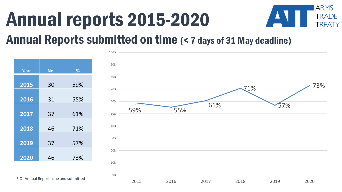## Annual reports 2015-2020



#### Annual Reports submitted on time (< 7 days of 31 May deadline)

| Year | No. | %   |
|------|-----|-----|
| 2015 | 30  | 59% |
| 2016 | 31  | 55% |
| 2017 | 37  | 61% |
| 2018 | 46  | 71% |
| 2019 | 37  | 57% |
| 2020 | 46  | 73% |



\* Of Annual Reports due and submitted